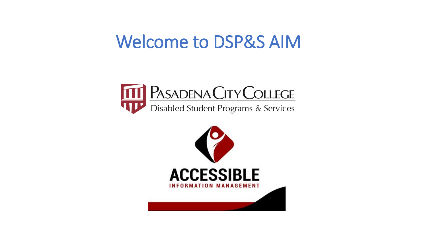## Welcome to DSP&S AIM



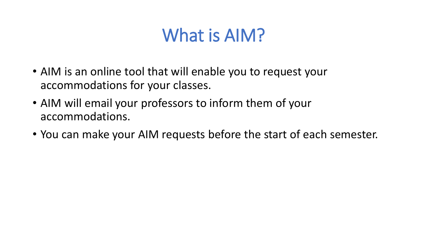# What is AIM?

- AIM is an online tool that will enable you to request your accommodations for your classes.
- AIM will email your professors to inform them of your accommodations.
- You can make your AIM requests before the start of each semester.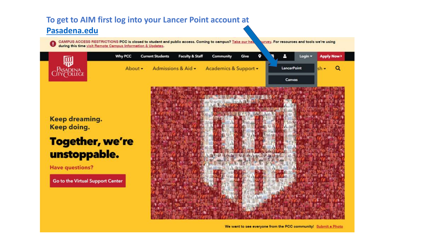### To get to AIM first log into your Lancer Point account at Pasadena.edu

CAMPUS ACCESS RESTRICTIONS PCC is closed to student and public access. Coming to campus? Take our head during this time visit Remote Campus Information & Updates. turvey. For resources and tools we're using

| 刪        | Why PCC | <b>Current Students</b> | <b>Faculty &amp; Staff</b> | Community             | Give | $\bullet$ |                    | Login v | <b>Apply Now F</b> |  |
|----------|---------|-------------------------|----------------------------|-----------------------|------|-----------|--------------------|---------|--------------------|--|
| PASADENA | About - |                         | Admissions & Aid -         | Academics & Support • |      |           | <b>LancerPoint</b> |         |                    |  |
|          |         |                         |                            |                       |      |           | Canvas             |         |                    |  |

Keep dreaming. Keep doing.

## **Together, we're** unstoppable.

**Have questions?** 

Go to the Virtual Support Center



We want to see everyone from the PCC community! Submit a Photo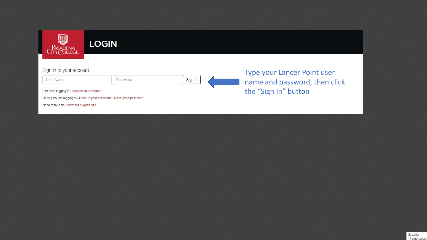

## **LOGIN**

Password

#### Sign in to your account

|  |  |  | User Name |
|--|--|--|-----------|
|  |  |  |           |

| Sian In |  |
|---------|--|
|         |  |

Type your Lancer Point user name and password, then click the "Sign In" button

First time logging in? Activate your account.

Having trouble logging in? Look up your username / Reset your password.

Need more help? View our support site.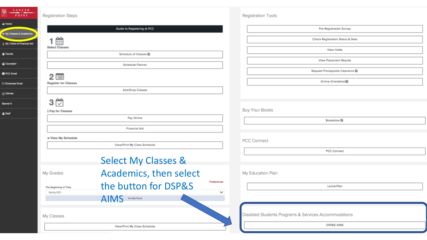| LANCER<br>農園<br>POINT        | <b>Registration Steps</b>                                    | <b>Registration Tools</b> |
|------------------------------|--------------------------------------------------------------|---------------------------|
| & Home                       |                                                              |                           |
| To My Classes & Academics    | Guide to Registering at PCC                                  |                           |
| S My Tuition & Financial Aid | <b>Select Classes</b>                                        |                           |
| <sup>3</sup> Faculty         | Schedule of Classes 2                                        |                           |
| Counselor                    | Schedule Planner                                             |                           |
| PCC Email                    | $\equiv$                                                     |                           |
| <b>⊡</b> Employee Email      | <b>Register for Classes</b>                                  |                           |
| C Canvas                     | Add/Drop Classes                                             |                           |
| Banner 9                     | 3                                                            |                           |
| @ Staff                      | \$ Pay for Classes                                           | <b>Buy Your Books</b>     |
|                              | Pay Online                                                   |                           |
|                              | Financial Aid                                                |                           |
|                              | ® View My Schedule                                           |                           |
|                              | View/Print My Class Schedule                                 | <b>PCC Connect</b>        |
|                              |                                                              |                           |
|                              | <b>Select My Classes &amp;</b>                               |                           |
|                              | Academics, then select<br>My Grades                          | My Education Plan         |
|                              | Preferences<br>the button for DSP&S<br>The Beginning of Time |                           |
|                              | <b>Spring 2021</b><br><b>AIMS</b><br>No Data Found           |                           |
|                              |                                                              |                           |
|                              | My Classes                                                   | <b>Disabled Students</b>  |
|                              | View/Print My Class Schedule                                 |                           |

| Pre-Registration Survey          |
|----------------------------------|
| Check Registration Status & Date |
| View Holds                       |
| View Placement Results           |
| Request Prerequisite Clearance 2 |
| Online Orientation               |
|                                  |

| Bookstore <b>D</b>                                   |
|------------------------------------------------------|
|                                                      |
| PCC Connect                                          |
| PCC Connect                                          |
|                                                      |
| My Education Plan                                    |
| LancerPlan                                           |
|                                                      |
| Disabled Students Programs & Services Accommodations |

DSP&S AIMS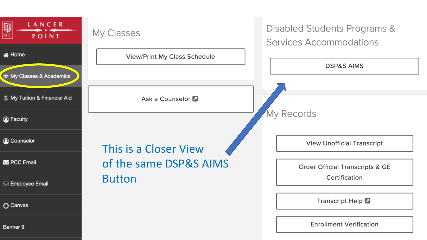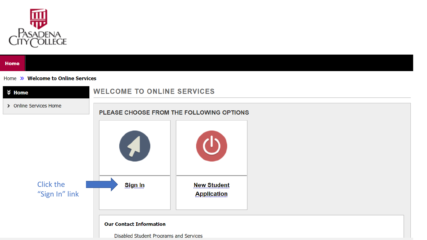

### Home

Home >> Welcome to Online Services

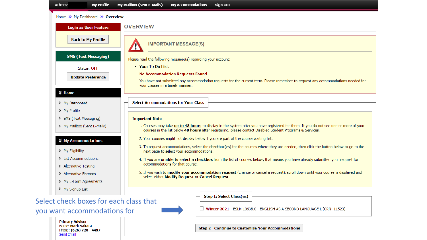| Welcome                                                                              | <b>My Profile</b><br>Home >> My Dashboard >> Overview | <b>My Mailbox (Sent E-Mails)</b><br><b>My Accommodations</b><br><b>Sign Out</b>                                                                                                                                                                     |  |  |  |  |  |
|--------------------------------------------------------------------------------------|-------------------------------------------------------|-----------------------------------------------------------------------------------------------------------------------------------------------------------------------------------------------------------------------------------------------------|--|--|--|--|--|
| <b>OVERVIEW</b><br><b>Login as User Feature</b>                                      |                                                       |                                                                                                                                                                                                                                                     |  |  |  |  |  |
|                                                                                      | <b>Back to My Profile</b>                             | <b>IMPORTANT MESSAGE(S)</b>                                                                                                                                                                                                                         |  |  |  |  |  |
|                                                                                      | <b>SMS (Text Messaging)</b>                           | Please read the following message(s) regarding your account:                                                                                                                                                                                        |  |  |  |  |  |
|                                                                                      | <b>Status: OFF</b><br><b>Update Preference</b>        | Your To Do List:<br><b>No Accommodation Requests Found</b><br>You have not submitted any accommodation requests for the current term. Please remember to request any accommodations needed for<br>your classes in a timely manner.                  |  |  |  |  |  |
| <b>☆ Home</b>                                                                        |                                                       |                                                                                                                                                                                                                                                     |  |  |  |  |  |
| > My Dashboard<br>> My Profile                                                       |                                                       | <b>Select Accommodations for Your Class</b>                                                                                                                                                                                                         |  |  |  |  |  |
| > SMS (Text Messaging)                                                               |                                                       | <b>Important Note</b>                                                                                                                                                                                                                               |  |  |  |  |  |
| > My Mailbox (Sent E-Mails)                                                          |                                                       | 1. Courses may take up to 48 hours to display in the system after you have registered for them. If you do not see one or more of your<br>courses in the list below 48 hours after registering, please contact Disabled Student Programs & Services. |  |  |  |  |  |
| <b>☆ My Accommodations</b>                                                           |                                                       | 2. Your courses might not display below if you are part of the course waiting list.                                                                                                                                                                 |  |  |  |  |  |
| > My Eligibility                                                                     |                                                       | 3. To request accommodations, select the checkbox(es) for the courses where they are needed, then click the button below to go to the<br>next page to select your accommodations.                                                                   |  |  |  |  |  |
| > List Accommodations<br>> Alternative Testing                                       |                                                       | 4. If you are unable to select a checkbox from the list of courses below, that means you have already submitted your request for<br>accommodations for that course.                                                                                 |  |  |  |  |  |
| > Alternative Formats<br>> My E-Form Agreements                                      |                                                       | 5. If you wish to modify your accommodation request (change or cancel a request), scroll down until your course is displayed and<br>select either Modify Request or Cancel Request.                                                                 |  |  |  |  |  |
| > My Signup List                                                                     |                                                       |                                                                                                                                                                                                                                                     |  |  |  |  |  |
|                                                                                      |                                                       | Step 1: Select Class(es)<br>Select check boxes for each class that                                                                                                                                                                                  |  |  |  |  |  |
| you want accommodations for                                                          |                                                       | Winter 2021 - ESLN 1063B.0 - ENGLISH AS A SECOND LANGUAGE L (CRN: 11523)                                                                                                                                                                            |  |  |  |  |  |
| <b>Primary Advisor</b><br>Name: Mark Sakata<br>Phone: (626) 720 - 4497<br>Send Email |                                                       | Step 2 - Continue to Customize Your Accommodations                                                                                                                                                                                                  |  |  |  |  |  |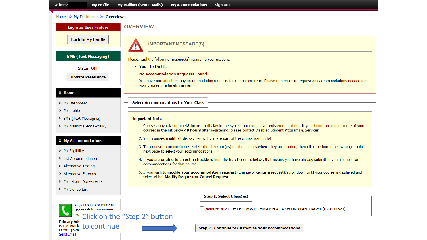| Welcome                          | <b>My Profile</b>                                       | <b>My Mailbox (Sent E-Mails)</b><br><b>My Accommodations</b><br><b>Sign Out</b>                                                                                                                                                                     |
|----------------------------------|---------------------------------------------------------|-----------------------------------------------------------------------------------------------------------------------------------------------------------------------------------------------------------------------------------------------------|
| Home >> My Dashboard >> Overview |                                                         |                                                                                                                                                                                                                                                     |
|                                  | <b>Login as User Feature</b>                            | <b>OVERVIEW</b>                                                                                                                                                                                                                                     |
|                                  | <b>Back to My Profile</b>                               | <b>IMPORTANT MESSAGE(S)</b>                                                                                                                                                                                                                         |
|                                  | <b>SMS (Text Messaging)</b>                             | Please read the following message(s) regarding your account:                                                                                                                                                                                        |
|                                  | Status: OFF                                             | • Your To Do List:                                                                                                                                                                                                                                  |
|                                  | <b>Update Preference</b>                                | <b>No Accommodation Requests Found</b>                                                                                                                                                                                                              |
|                                  |                                                         | You have not submitted any accommodation requests for the current term. Please remember to request any accommodations needed for<br>your classes in a timely manner.                                                                                |
| <b>₹</b> Home                    |                                                         |                                                                                                                                                                                                                                                     |
| > My Dashboard                   |                                                         | <b>Select Accommodations for Your Class</b>                                                                                                                                                                                                         |
| > My Profile                     |                                                         |                                                                                                                                                                                                                                                     |
| > SMS (Text Messaging)           |                                                         | <b>Important Note</b>                                                                                                                                                                                                                               |
| > My Mailbox (Sent E-Mails)      |                                                         | 1. Courses may take up to 48 hours to display in the system after you have registered for them. If you do not see one or more of your<br>courses in the list below 48 hours after registering, please contact Disabled Student Programs & Services. |
| <b>☆ My Accommodations</b>       |                                                         | 2. Your courses might not display below if you are part of the course waiting list.                                                                                                                                                                 |
| > My Eligibility                 |                                                         | 3. To request accommodations, select the checkbox(es) for the courses where they are needed, then click the button below to go to the<br>next page to select your accommodations.                                                                   |
| > List Accommodations            |                                                         | 4. If you are unable to select a checkbox from the list of courses below, that means you have already submitted your request for                                                                                                                    |
| > Alternative Testing            |                                                         | accommodations for that course.                                                                                                                                                                                                                     |
| > Alternative Formats            |                                                         | 5. If you wish to modify your accommodation request (change or cancel a request), scroll down until your course is displayed and<br>select either Modify Request or Cancel Request.                                                                 |
| > My E-Form Agreements           |                                                         |                                                                                                                                                                                                                                                     |
| > My Signup List                 |                                                         | Step 1: Select Class(es)                                                                                                                                                                                                                            |
|                                  |                                                         |                                                                                                                                                                                                                                                     |
|                                  | Any questions or concerns?<br>Use the following contact | <b>U Winter 2021</b> - ESLN 1063B.0 - ENGLISH AS A SECOND LANGUAGE L (CRN: 11523)                                                                                                                                                                   |
| <b>Primary Adv</b>               |                                                         | Click on the "Step 2" button                                                                                                                                                                                                                        |
| Name: Mark<br>Phone: (626)       | to continue                                             | Step 2 - Continue to Customize Your Accommodations                                                                                                                                                                                                  |
| Send Email                       |                                                         |                                                                                                                                                                                                                                                     |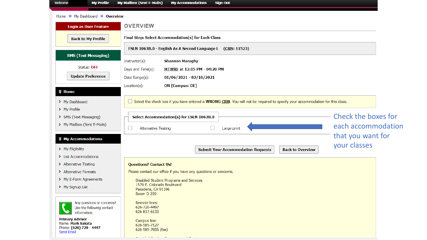| Welcome                                                   | <b>My Profile</b>                         | <b>My Mailbox (Sent E-Mails)</b><br><b>My Accommodations</b><br><b>Sign Out</b>                                                     |                            |  |  |  |  |  |
|-----------------------------------------------------------|-------------------------------------------|-------------------------------------------------------------------------------------------------------------------------------------|----------------------------|--|--|--|--|--|
| Home >> My Dashboard >> Overview                          |                                           |                                                                                                                                     |                            |  |  |  |  |  |
| <b>OVERVIEW</b><br><b>Login as User Feature</b>           |                                           |                                                                                                                                     |                            |  |  |  |  |  |
|                                                           | <b>Back to My Profile</b>                 | Final Step: Select Accommodation(s) for Each Class                                                                                  |                            |  |  |  |  |  |
|                                                           |                                           | ESLN 1063B.0 - English As A Second Language L (CRN: 11523)                                                                          |                            |  |  |  |  |  |
|                                                           | <b>SMS (Text Messaging)</b>               | <b>Shannon Maraghy</b><br>Instructor(s):                                                                                            |                            |  |  |  |  |  |
|                                                           | Status: OFF                               | Days and Time(s):<br>MTWRF at 12:15 PM - 04:20 PM                                                                                   |                            |  |  |  |  |  |
|                                                           | <b>Update Preference</b>                  | $01/06/2021 - 02/10/2021$<br>Date Range(s):                                                                                         |                            |  |  |  |  |  |
|                                                           |                                           | ON (Campus: DE)<br>Location(s):                                                                                                     |                            |  |  |  |  |  |
| <b></b> Home                                              |                                           |                                                                                                                                     |                            |  |  |  |  |  |
| > My Dashboard<br>> My Profile                            |                                           | $\Box$ Select the check box if you have entered a WRONG CRN. You will not be required to specify your accommodation for this class. |                            |  |  |  |  |  |
|                                                           | > SMS (Text Messaging)                    | Select Accommodation(s) for ESLN 1063B.0                                                                                            | <b>Check the boxes for</b> |  |  |  |  |  |
|                                                           | > My Mailbox (Sent E-Mails)               | <b>Alternative Testing</b><br>Large print<br>└<br>U                                                                                 | each accommodation         |  |  |  |  |  |
|                                                           |                                           |                                                                                                                                     | that you want for          |  |  |  |  |  |
|                                                           | <b>☆ My Accommodations</b>                |                                                                                                                                     | your classes               |  |  |  |  |  |
| > My Eligibility                                          | > List Accommodations                     | <b>Submit Your Accommodation Requests</b><br><b>Back to Overview</b>                                                                |                            |  |  |  |  |  |
|                                                           | > Alternative Testing                     | <b>Questions? Contact Us!</b>                                                                                                       |                            |  |  |  |  |  |
|                                                           | > Alternative Formats                     | Please contact our office if you have any questions or concerns.                                                                    |                            |  |  |  |  |  |
|                                                           | > My E-Form Agreements                    | Disabled Student Programs and Services<br>1570 E. Colorado Boulevard                                                                |                            |  |  |  |  |  |
| > My Signup List                                          |                                           | Pasadena, CA 91106<br>Room D-209                                                                                                    |                            |  |  |  |  |  |
|                                                           | Any questions or concerns?                | Remote lines:                                                                                                                       |                            |  |  |  |  |  |
|                                                           | Use the following contact<br>information: | 626-720-4497<br>626-817-6133                                                                                                        |                            |  |  |  |  |  |
| <b>Primary Advisor</b><br>Name: Mark Sakata<br>Send Email | Phone: (626) 720 - 4497                   | Campus line:<br>626-585-7127<br>626-585-7655 (fax)<br>when the company of the company                                               |                            |  |  |  |  |  |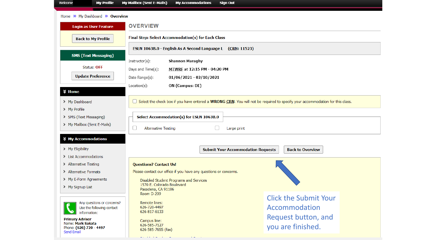| Welcome                                         | <b>My Profile</b>                         | <b>My Mailbox (Sent E-Mails)</b>                                                                                                                                                                            | <b>My Accommodations</b>                                                                                   | <b>Sign Out</b>                           |                                                                                                                              |  |  |  |  |
|-------------------------------------------------|-------------------------------------------|-------------------------------------------------------------------------------------------------------------------------------------------------------------------------------------------------------------|------------------------------------------------------------------------------------------------------------|-------------------------------------------|------------------------------------------------------------------------------------------------------------------------------|--|--|--|--|
| Home >> My Dashboard >> Overview                |                                           |                                                                                                                                                                                                             |                                                                                                            |                                           |                                                                                                                              |  |  |  |  |
|                                                 | <b>Login as User Feature</b>              | <b>OVERVIEW</b>                                                                                                                                                                                             |                                                                                                            |                                           |                                                                                                                              |  |  |  |  |
|                                                 | <b>Back to My Profile</b>                 |                                                                                                                                                                                                             | Final Step: Select Accommodation(s) for Each Class                                                         |                                           |                                                                                                                              |  |  |  |  |
|                                                 |                                           |                                                                                                                                                                                                             |                                                                                                            |                                           |                                                                                                                              |  |  |  |  |
|                                                 | <b>SMS (Text Messaging)</b>               | Instructor(s):                                                                                                                                                                                              | <b>Shannon Maraghy</b>                                                                                     |                                           |                                                                                                                              |  |  |  |  |
|                                                 | Status: OFF                               | Days and Time(s):                                                                                                                                                                                           | MTWRF at 12:15 PM - 04:20 PM                                                                               |                                           |                                                                                                                              |  |  |  |  |
|                                                 | <b>Update Preference</b>                  | Date Range(s):                                                                                                                                                                                              | $01/06/2021 - 02/10/2021$                                                                                  |                                           |                                                                                                                              |  |  |  |  |
|                                                 |                                           | Location(s):                                                                                                                                                                                                | ON (Campus: DE)                                                                                            |                                           |                                                                                                                              |  |  |  |  |
| <b>≵ Home</b>                                   |                                           |                                                                                                                                                                                                             |                                                                                                            |                                           |                                                                                                                              |  |  |  |  |
| > My Dashboard                                  |                                           |                                                                                                                                                                                                             |                                                                                                            |                                           | Select the check box if you have entered a WRONG CRN. You will not be required to specify your accommodation for this class. |  |  |  |  |
| > My Profile<br>> SMS (Text Messaging)          |                                           |                                                                                                                                                                                                             | Select Accommodation(s) for ESLN 1063B.0                                                                   |                                           |                                                                                                                              |  |  |  |  |
| > My Mailbox (Sent E-Mails)                     |                                           |                                                                                                                                                                                                             |                                                                                                            |                                           |                                                                                                                              |  |  |  |  |
|                                                 |                                           | <b>Alternative Testing</b><br>U.                                                                                                                                                                            |                                                                                                            | Large print                               |                                                                                                                              |  |  |  |  |
| <b>☆ My Accommodations</b>                      |                                           |                                                                                                                                                                                                             |                                                                                                            |                                           |                                                                                                                              |  |  |  |  |
| > My Eligibility                                |                                           |                                                                                                                                                                                                             |                                                                                                            | <b>Submit Your Accommodation Requests</b> | <b>Back to Overview</b>                                                                                                      |  |  |  |  |
| > List Accommodations                           |                                           |                                                                                                                                                                                                             |                                                                                                            |                                           |                                                                                                                              |  |  |  |  |
| > Alternative Testing                           |                                           | <b>Questions? Contact Us!</b>                                                                                                                                                                               |                                                                                                            |                                           |                                                                                                                              |  |  |  |  |
| > Alternative Formats<br>> My E-Form Agreements |                                           |                                                                                                                                                                                                             | Please contact our office if you have any questions or concerns.<br>Disabled Student Programs and Services |                                           |                                                                                                                              |  |  |  |  |
| > My Signup List                                |                                           | 1570 E. Colorado Boulevard<br>Pasadena, CA 91106                                                                                                                                                            |                                                                                                            |                                           |                                                                                                                              |  |  |  |  |
|                                                 |                                           | Room D-209                                                                                                                                                                                                  |                                                                                                            |                                           |                                                                                                                              |  |  |  |  |
|                                                 | Any questions or concerns?                | Remote lines:                                                                                                                                                                                               |                                                                                                            |                                           | <b>Click the Submit Your</b>                                                                                                 |  |  |  |  |
|                                                 | Use the following contact<br>information: | 626-720-4497<br>626-817-6133                                                                                                                                                                                |                                                                                                            |                                           | Accommodation                                                                                                                |  |  |  |  |
| <b>Primary Advisor</b><br>Name: Mark Sakata     |                                           | Campus line:                                                                                                                                                                                                |                                                                                                            |                                           | Request button, and                                                                                                          |  |  |  |  |
| Phone: (626) 720 - 4497<br>Send Email           |                                           | 626-585-7127<br>626-585-7655 (fax)                                                                                                                                                                          |                                                                                                            |                                           | you are finished.                                                                                                            |  |  |  |  |
|                                                 |                                           | $\begin{aligned} \mathbf{u}(\mathbf{x}) & \leq \mathbf{u}(\mathbf{x}) \mathbf{u}(\mathbf{x}) + \mathbf{u}(\mathbf{x}) \mathbf{u}(\mathbf{x}) + \mathbf{u}(\mathbf{x}) \mathbf{u}(\mathbf{x}) \end{aligned}$ |                                                                                                            |                                           |                                                                                                                              |  |  |  |  |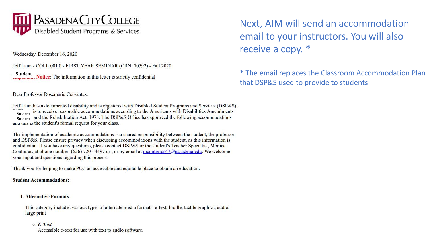

Wednesday, December 16, 2020

Jeff Laun - COLL 001.0 - FIRST YEAR SEMINAR (CRN: 70592) - Fall 2020

**Student**<br>**Studential**<br>**Studential**<br>**Studential**<br>**Studential**<br>**Studential**<br>**Studential** 

Dear Professor Rosemarie Cervantes:

Jeff Laun has a documented disability and is registered with Disabled Student Programs and Services (DSP&S). **Student Student**

The implementation of academic accommodations is a shared responsibility between the student, the professor and DSP&S. Please ensure privacy when discussing accommodations with the student, as this information is confidential. If you have any questions, please contact DSP&S or the student's Teacher Specialist, Monica Contreras, at phone number: (626) 720 - 4497 or, or by email at mcontreras47@pasadena.edu. We welcome your input and questions regarding this process.

Thank you for helping to make PCC an accessible and equitable place to obtain an education.

**Student Accommodations:** 

#### **1. Alternative Formats**

This category includes various types of alternate media formats: e-text, braille, tactile graphics, audio, large print

#### $\circ$  E-Text

Accessible e-text for use with text to audio software.

Next, AIM will send an accommodation email to your instructors. You will also receive a copy. \*

\* The email replaces the Classroom Accommodation Plan that DSP&S used to provide to students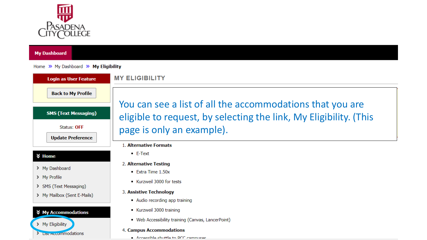

#### **My Dashboard**

#### Home  $\gg$  My Dashboard  $\gg$  My Eligibility

**MY ELIGIBILITY Login as User Feature Back to My Profile SMS (Text Messaging) Status: OFF Update Preference** 

#### **∀ Home**

- > My Dashboard
- > My Profile
- > SMS (Text Messaging)
- > My Mailbox (Sent E-Mails)



> List Accommodations

You can see a list of all the accommodations that you are eligible to request, by selecting the link, My Eligibility. (This page is only an example).

#### 1. Alternative Formats

 $E-Text$ 

#### 2. Alternative Testing

- $\blacksquare$  Extra Time 1.50 $x$
- Kurzweil 3000 for tests

#### 3. Assistive Technology

- Audio recording app training
- Kurzweil 3000 training
- Web Accessibility training (Canvas, LancerPoint)

#### 4. Campus Accommodations

Accepible chuttle to DCC compused